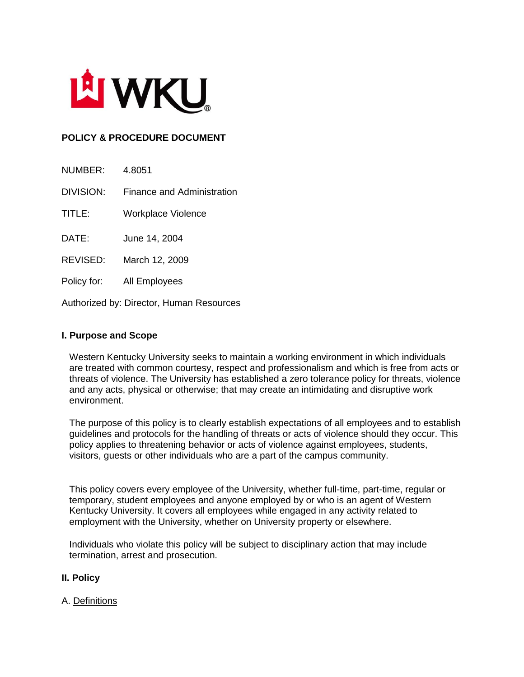

# **POLICY & PROCEDURE DOCUMENT**

| NUMBER:                                  | 4.8051                     |
|------------------------------------------|----------------------------|
| <b>DIVISION:</b>                         | Finance and Administration |
| TITLE:                                   | <b>Workplace Violence</b>  |
| DATE:                                    | June 14, 2004              |
| REVISED:                                 | March 12, 2009             |
| Policy for:                              | All Employees              |
| Authorized by: Director, Human Resources |                            |

**I. Purpose and Scope**

Western Kentucky University seeks to maintain a working environment in which individuals are treated with common courtesy, respect and professionalism and which is free from acts or threats of violence. The University has established a zero tolerance policy for threats, violence and any acts, physical or otherwise; that may create an intimidating and disruptive work environment.

The purpose of this policy is to clearly establish expectations of all employees and to establish guidelines and protocols for the handling of threats or acts of violence should they occur. This policy applies to threatening behavior or acts of violence against employees, students, visitors, guests or other individuals who are a part of the campus community.

This policy covers every employee of the University, whether full-time, part-time, regular or temporary, student employees and anyone employed by or who is an agent of Western Kentucky University. It covers all employees while engaged in any activity related to employment with the University, whether on University property or elsewhere.

Individuals who violate this policy will be subject to disciplinary action that may include termination, arrest and prosecution.

#### **II. Policy**

#### A. Definitions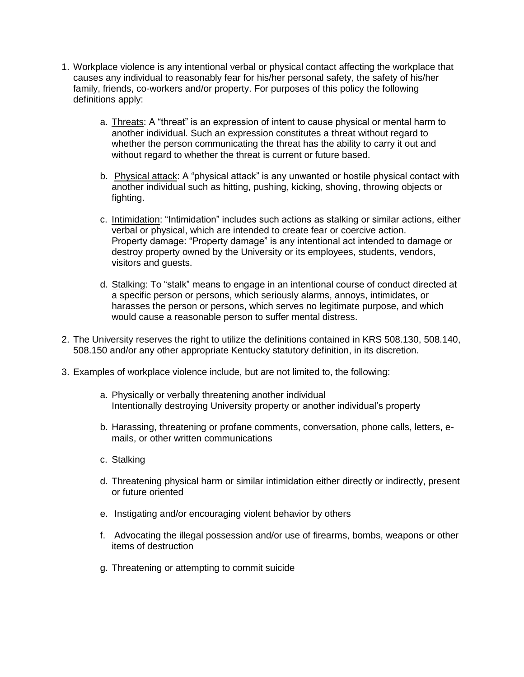- 1. Workplace violence is any intentional verbal or physical contact affecting the workplace that causes any individual to reasonably fear for his/her personal safety, the safety of his/her family, friends, co-workers and/or property. For purposes of this policy the following definitions apply:
	- a. Threats: A "threat" is an expression of intent to cause physical or mental harm to another individual. Such an expression constitutes a threat without regard to whether the person communicating the threat has the ability to carry it out and without regard to whether the threat is current or future based.
	- b. Physical attack: A "physical attack" is any unwanted or hostile physical contact with another individual such as hitting, pushing, kicking, shoving, throwing objects or fighting.
	- c. Intimidation: "Intimidation" includes such actions as stalking or similar actions, either verbal or physical, which are intended to create fear or coercive action. Property damage: "Property damage" is any intentional act intended to damage or destroy property owned by the University or its employees, students, vendors, visitors and guests.
	- d. Stalking: To "stalk" means to engage in an intentional course of conduct directed at a specific person or persons, which seriously alarms, annoys, intimidates, or harasses the person or persons, which serves no legitimate purpose, and which would cause a reasonable person to suffer mental distress.
- 2. The University reserves the right to utilize the definitions contained in KRS 508.130, 508.140, 508.150 and/or any other appropriate Kentucky statutory definition, in its discretion.
- 3. Examples of workplace violence include, but are not limited to, the following:
	- a. Physically or verbally threatening another individual Intentionally destroying University property or another individual's property
	- b. Harassing, threatening or profane comments, conversation, phone calls, letters, emails, or other written communications
	- c. Stalking
	- d. Threatening physical harm or similar intimidation either directly or indirectly, present or future oriented
	- e. Instigating and/or encouraging violent behavior by others
	- f. Advocating the illegal possession and/or use of firearms, bombs, weapons or other items of destruction
	- g. Threatening or attempting to commit suicide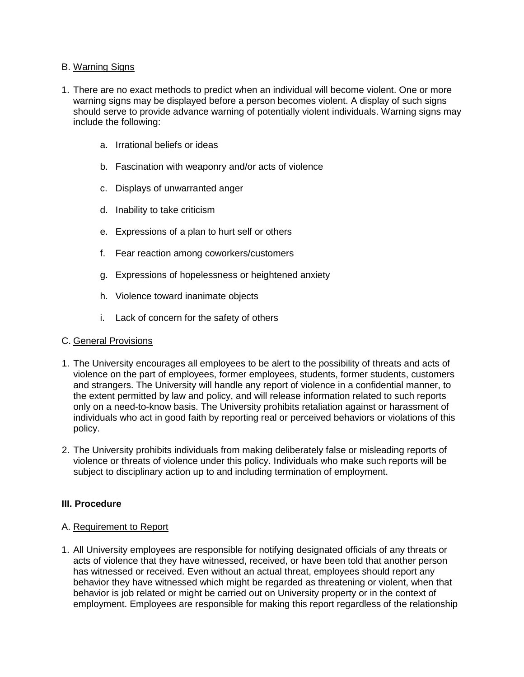# B. Warning Signs

- 1. There are no exact methods to predict when an individual will become violent. One or more warning signs may be displayed before a person becomes violent. A display of such signs should serve to provide advance warning of potentially violent individuals. Warning signs may include the following:
	- a. Irrational beliefs or ideas
	- b. Fascination with weaponry and/or acts of violence
	- c. Displays of unwarranted anger
	- d. Inability to take criticism
	- e. Expressions of a plan to hurt self or others
	- f. Fear reaction among coworkers/customers
	- g. Expressions of hopelessness or heightened anxiety
	- h. Violence toward inanimate objects
	- i. Lack of concern for the safety of others

#### C. General Provisions

- 1. The University encourages all employees to be alert to the possibility of threats and acts of violence on the part of employees, former employees, students, former students, customers and strangers. The University will handle any report of violence in a confidential manner, to the extent permitted by law and policy, and will release information related to such reports only on a need-to-know basis. The University prohibits retaliation against or harassment of individuals who act in good faith by reporting real or perceived behaviors or violations of this policy.
- 2. The University prohibits individuals from making deliberately false or misleading reports of violence or threats of violence under this policy. Individuals who make such reports will be subject to disciplinary action up to and including termination of employment.

#### **III. Procedure**

#### A. Requirement to Report

1. All University employees are responsible for notifying designated officials of any threats or acts of violence that they have witnessed, received, or have been told that another person has witnessed or received. Even without an actual threat, employees should report any behavior they have witnessed which might be regarded as threatening or violent, when that behavior is job related or might be carried out on University property or in the context of employment. Employees are responsible for making this report regardless of the relationship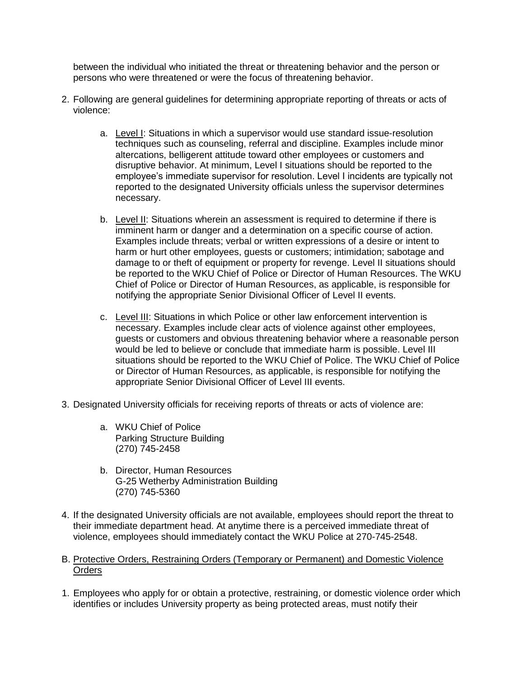between the individual who initiated the threat or threatening behavior and the person or persons who were threatened or were the focus of threatening behavior.

- 2. Following are general guidelines for determining appropriate reporting of threats or acts of violence:
	- a. Level I: Situations in which a supervisor would use standard issue-resolution techniques such as counseling, referral and discipline. Examples include minor altercations, belligerent attitude toward other employees or customers and disruptive behavior. At minimum, Level I situations should be reported to the employee's immediate supervisor for resolution. Level I incidents are typically not reported to the designated University officials unless the supervisor determines necessary.
	- b. Level II: Situations wherein an assessment is required to determine if there is imminent harm or danger and a determination on a specific course of action. Examples include threats; verbal or written expressions of a desire or intent to harm or hurt other employees, guests or customers; intimidation; sabotage and damage to or theft of equipment or property for revenge. Level II situations should be reported to the WKU Chief of Police or Director of Human Resources. The WKU Chief of Police or Director of Human Resources, as applicable, is responsible for notifying the appropriate Senior Divisional Officer of Level II events.
	- c. Level III: Situations in which Police or other law enforcement intervention is necessary. Examples include clear acts of violence against other employees, guests or customers and obvious threatening behavior where a reasonable person would be led to believe or conclude that immediate harm is possible. Level III situations should be reported to the WKU Chief of Police. The WKU Chief of Police or Director of Human Resources, as applicable, is responsible for notifying the appropriate Senior Divisional Officer of Level III events.
- 3. Designated University officials for receiving reports of threats or acts of violence are:
	- a. WKU Chief of Police Parking Structure Building (270) 745-2458
	- b. Director, Human Resources G-25 Wetherby Administration Building (270) 745-5360
- 4. If the designated University officials are not available, employees should report the threat to their immediate department head. At anytime there is a perceived immediate threat of violence, employees should immediately contact the WKU Police at 270-745-2548.

## B. Protective Orders, Restraining Orders (Temporary or Permanent) and Domestic Violence **Orders**

1. Employees who apply for or obtain a protective, restraining, or domestic violence order which identifies or includes University property as being protected areas, must notify their